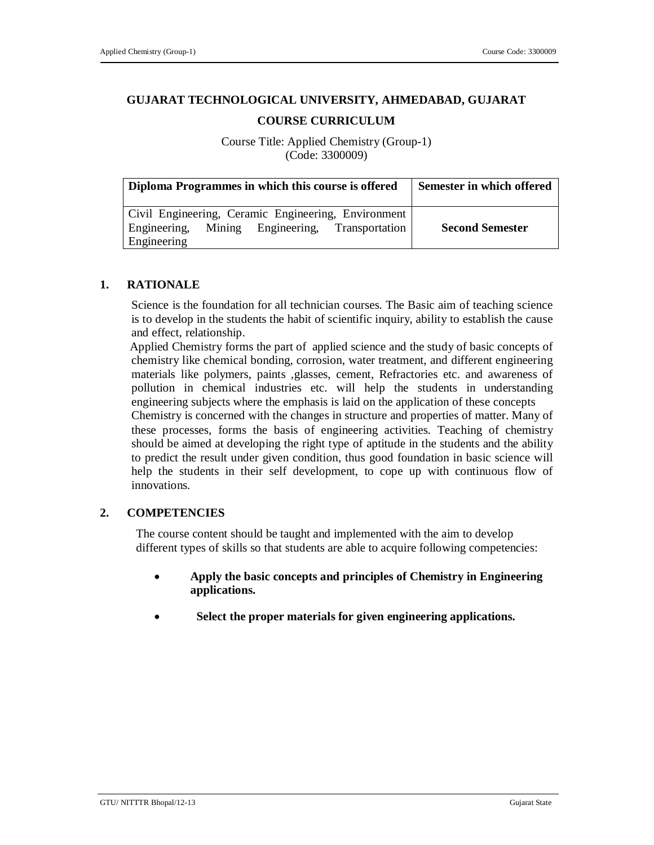# **GUJARAT TECHNOLOGICAL UNIVERSITY, AHMEDABAD, GUJARAT**

## **COURSE CURRICULUM**

Course Title: Applied Chemistry (Group-1) (Code: 3300009)

| Diploma Programmes in which this course is offered                                                     | <b>Semester in which offered</b> |
|--------------------------------------------------------------------------------------------------------|----------------------------------|
| Civil Engineering, Ceramic Engineering, Environment<br>Engineering, Mining Engineering, Transportation | <b>Second Semester</b>           |
| Engineering                                                                                            |                                  |

## **1. RATIONALE**

Science is the foundation for all technician courses. The Basic aim of teaching science is to develop in the students the habit of scientific inquiry, ability to establish the cause and effect, relationship.

 Applied Chemistry forms the part of applied science and the study of basic concepts of chemistry like chemical bonding, corrosion, water treatment, and different engineering materials like polymers, paints ,glasses, cement, Refractories etc. and awareness of pollution in chemical industries etc. will help the students in understanding engineering subjects where the emphasis is laid on the application of these concepts

 Chemistry is concerned with the changes in structure and properties of matter. Many of these processes, forms the basis of engineering activities. Teaching of chemistry should be aimed at developing the right type of aptitude in the students and the ability to predict the result under given condition, thus good foundation in basic science will help the students in their self development, to cope up with continuous flow of innovations.

#### **2. COMPETENCIES**

The course content should be taught and implemented with the aim to develop different types of skills so that students are able to acquire following competencies:

- **Apply the basic concepts and principles of Chemistry in Engineering applications.**
- **Select the proper materials for given engineering applications.**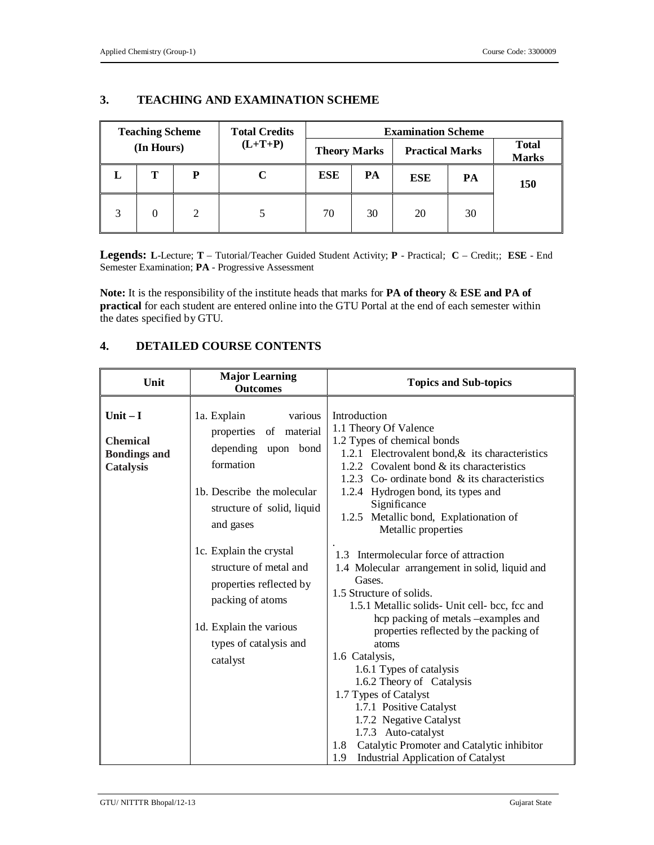| <b>Teaching Scheme</b> |            |                             | <b>Total Credits</b> | <b>Examination Scheme</b> |    |                        |    |     |                              |  |
|------------------------|------------|-----------------------------|----------------------|---------------------------|----|------------------------|----|-----|------------------------------|--|
|                        | (In Hours) |                             | $(L+T+P)$            | <b>Theory Marks</b>       |    | <b>Practical Marks</b> |    |     | <b>Total</b><br><b>Marks</b> |  |
| L                      | т          | P                           |                      | <b>ESE</b>                | PA | <b>ESE</b>             | PA | 150 |                              |  |
| 2                      |            | $\mathcal{D}_{\mathcal{L}}$ |                      | 70                        | 30 | 20                     | 30 |     |                              |  |

## **3. TEACHING AND EXAMINATION SCHEME**

**Legends: L**-Lecture; **T** – Tutorial/Teacher Guided Student Activity; **P** - Practical; **C** – Credit;; **ESE** - End Semester Examination; **PA** - Progressive Assessment

**Note:** It is the responsibility of the institute heads that marks for **PA of theory** & **ESE and PA of practical** for each student are entered online into the GTU Portal at the end of each semester within the dates specified by GTU.

## **4. DETAILED COURSE CONTENTS**

| Unit                                                                    | <b>Major Learning</b><br><b>Outcomes</b>                                                                                                                          | <b>Topics and Sub-topics</b>                                                                                                                                                                                                                                                                                                                                                                                                                                                                                                                                            |
|-------------------------------------------------------------------------|-------------------------------------------------------------------------------------------------------------------------------------------------------------------|-------------------------------------------------------------------------------------------------------------------------------------------------------------------------------------------------------------------------------------------------------------------------------------------------------------------------------------------------------------------------------------------------------------------------------------------------------------------------------------------------------------------------------------------------------------------------|
| Unit $-I$<br><b>Chemical</b><br><b>Bondings and</b><br><b>Catalysis</b> | 1a. Explain<br>various<br>properties of material<br>depending upon bond<br>formation<br>1b. Describe the molecular<br>structure of solid, liquid<br>and gases     | Introduction<br>1.1 Theory Of Valence<br>1.2 Types of chemical bonds<br>1.2.1 Electrovalent bond, & its characteristics<br>1.2.2 Covalent bond & its characteristics<br>1.2.3 Co- ordinate bond & its characteristics<br>1.2.4 Hydrogen bond, its types and<br>Significance<br>1.2.5 Metallic bond, Explationation of<br>Metallic properties                                                                                                                                                                                                                            |
|                                                                         | 1c. Explain the crystal<br>structure of metal and<br>properties reflected by<br>packing of atoms<br>1d. Explain the various<br>types of catalysis and<br>catalyst | Intermolecular force of attraction<br>1.3<br>1.4 Molecular arrangement in solid, liquid and<br>Gases.<br>1.5 Structure of solids.<br>1.5.1 Metallic solids- Unit cell- bcc, fcc and<br>hcp packing of metals -examples and<br>properties reflected by the packing of<br>atoms<br>1.6 Catalysis,<br>1.6.1 Types of catalysis<br>1.6.2 Theory of Catalysis<br>1.7 Types of Catalyst<br>1.7.1 Positive Catalyst<br>1.7.2 Negative Catalyst<br>1.7.3 Auto-catalyst<br>Catalytic Promoter and Catalytic inhibitor<br>1.8<br><b>Industrial Application of Catalyst</b><br>1.9 |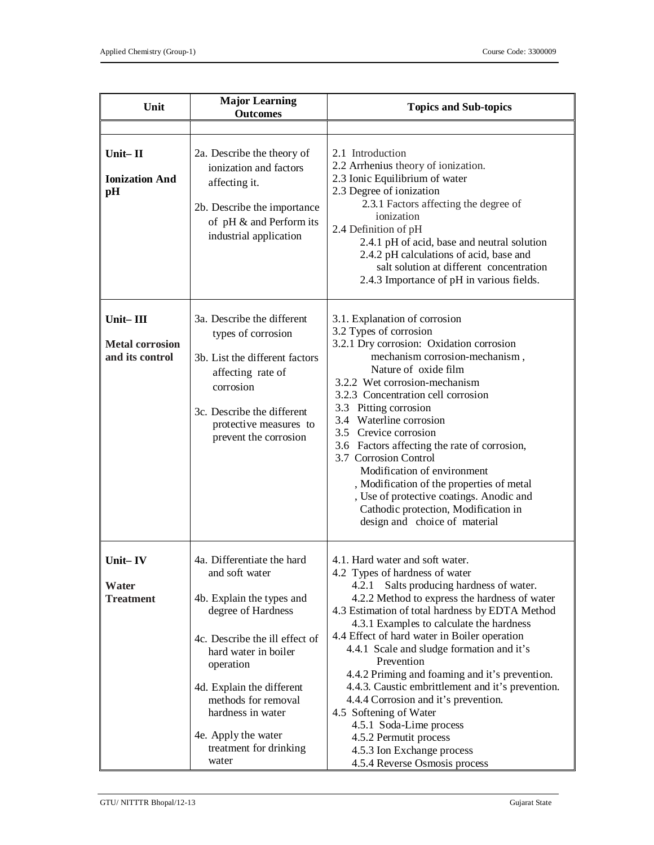| Unit                                                  | <b>Major Learning</b><br><b>Outcomes</b>                                                                                                                                                                                                                                                                  | <b>Topics and Sub-topics</b>                                                                                                                                                                                                                                                                                                                                                                                                                                                                                                                                                                                                                                             |
|-------------------------------------------------------|-----------------------------------------------------------------------------------------------------------------------------------------------------------------------------------------------------------------------------------------------------------------------------------------------------------|--------------------------------------------------------------------------------------------------------------------------------------------------------------------------------------------------------------------------------------------------------------------------------------------------------------------------------------------------------------------------------------------------------------------------------------------------------------------------------------------------------------------------------------------------------------------------------------------------------------------------------------------------------------------------|
|                                                       |                                                                                                                                                                                                                                                                                                           |                                                                                                                                                                                                                                                                                                                                                                                                                                                                                                                                                                                                                                                                          |
| Unit $-$ II<br><b>Ionization And</b><br>pH            | 2a. Describe the theory of<br>ionization and factors<br>affecting it.<br>2b. Describe the importance<br>of pH & and Perform its<br>industrial application                                                                                                                                                 | 2.1 Introduction<br>2.2 Arrhenius theory of ionization.<br>2.3 Ionic Equilibrium of water<br>2.3 Degree of ionization<br>2.3.1 Factors affecting the degree of<br>ionization<br>2.4 Definition of pH<br>2.4.1 pH of acid, base and neutral solution<br>2.4.2 pH calculations of acid, base and<br>salt solution at different concentration<br>2.4.3 Importance of pH in various fields.                                                                                                                                                                                                                                                                                  |
| Unit-III<br><b>Metal corrosion</b><br>and its control | 3a. Describe the different<br>types of corrosion<br>3b. List the different factors<br>affecting rate of<br>corrosion<br>3c. Describe the different<br>protective measures to<br>prevent the corrosion                                                                                                     | 3.1. Explanation of corrosion<br>3.2 Types of corrosion<br>3.2.1 Dry corrosion: Oxidation corrosion<br>mechanism corrosion-mechanism,<br>Nature of oxide film<br>3.2.2 Wet corrosion-mechanism<br>3.2.3 Concentration cell corrosion<br>3.3 Pitting corrosion<br>3.4 Waterline corrosion<br>3.5 Crevice corrosion<br>3.6 Factors affecting the rate of corrosion,<br>3.7 Corrosion Control<br>Modification of environment<br>, Modification of the properties of metal<br>, Use of protective coatings. Anodic and<br>Cathodic protection, Modification in<br>design and choice of material                                                                              |
| Unit-IV<br>Water<br><b>Treatment</b>                  | 4a. Differentiate the hard<br>and soft water<br>4b. Explain the types and<br>degree of Hardness<br>4c. Describe the ill effect of<br>hard water in boiler<br>operation<br>4d. Explain the different<br>methods for removal<br>hardness in water<br>4e. Apply the water<br>treatment for drinking<br>water | 4.1. Hard water and soft water.<br>4.2 Types of hardness of water<br>4.2.1<br>Salts producing hardness of water.<br>4.2.2 Method to express the hardness of water<br>4.3 Estimation of total hardness by EDTA Method<br>4.3.1 Examples to calculate the hardness<br>4.4 Effect of hard water in Boiler operation<br>4.4.1 Scale and sludge formation and it's<br>Prevention<br>4.4.2 Priming and foaming and it's prevention.<br>4.4.3. Caustic embrittlement and it's prevention.<br>4.4.4 Corrosion and it's prevention.<br>4.5 Softening of Water<br>4.5.1 Soda-Lime process<br>4.5.2 Permutit process<br>4.5.3 Ion Exchange process<br>4.5.4 Reverse Osmosis process |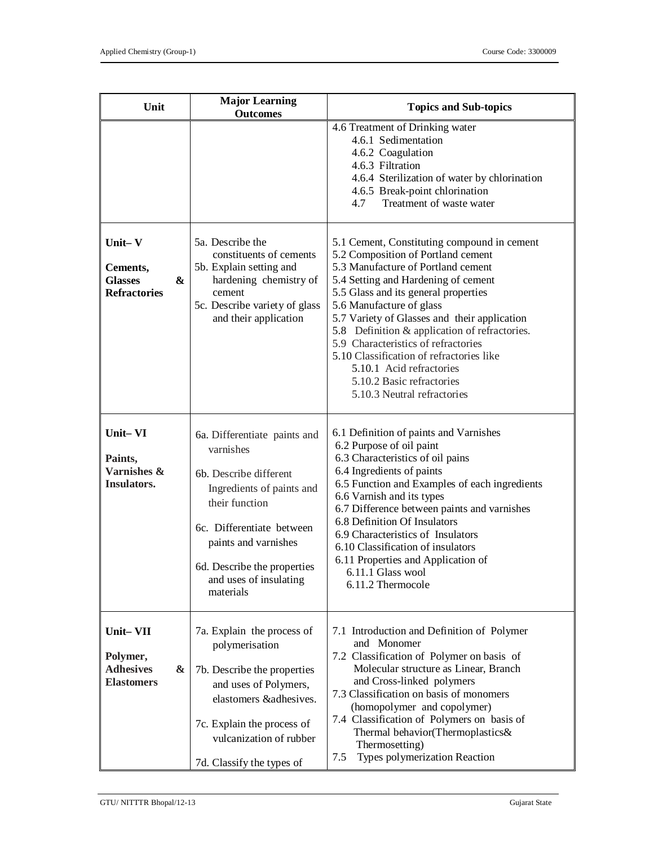| Unit                                                                                   | <b>Major Learning</b><br><b>Outcomes</b>                                                                                                                                                                                                      | <b>Topics and Sub-topics</b>                                                                                                                                                                                                                                                                                                                                                                                                                                                                                   |
|----------------------------------------------------------------------------------------|-----------------------------------------------------------------------------------------------------------------------------------------------------------------------------------------------------------------------------------------------|----------------------------------------------------------------------------------------------------------------------------------------------------------------------------------------------------------------------------------------------------------------------------------------------------------------------------------------------------------------------------------------------------------------------------------------------------------------------------------------------------------------|
|                                                                                        |                                                                                                                                                                                                                                               | 4.6 Treatment of Drinking water<br>4.6.1 Sedimentation<br>4.6.2 Coagulation<br>4.6.3 Filtration<br>4.6.4 Sterilization of water by chlorination<br>4.6.5 Break-point chlorination<br>Treatment of waste water<br>4.7                                                                                                                                                                                                                                                                                           |
| Unit-V<br>Cements,<br>$\boldsymbol{\&}$<br><b>Glasses</b><br><b>Refractories</b>       | 5a. Describe the<br>constituents of cements<br>5b. Explain setting and<br>hardening chemistry of<br>cement<br>5c. Describe variety of glass<br>and their application                                                                          | 5.1 Cement, Constituting compound in cement<br>5.2 Composition of Portland cement<br>5.3 Manufacture of Portland cement<br>5.4 Setting and Hardening of cement<br>5.5 Glass and its general properties<br>5.6 Manufacture of glass<br>5.7 Variety of Glasses and their application<br>5.8 Definition & application of refractories.<br>5.9 Characteristics of refractories<br>5.10 Classification of refractories like<br>5.10.1 Acid refractories<br>5.10.2 Basic refractories<br>5.10.3 Neutral refractories |
| Unit-VI<br>Paints,<br>Varnishes &<br>Insulators.                                       | 6a. Differentiate paints and<br>varnishes<br>6b. Describe different<br>Ingredients of paints and<br>their function<br>6c. Differentiate between<br>paints and varnishes<br>6d. Describe the properties<br>and uses of insulating<br>materials | 6.1 Definition of paints and Varnishes<br>6.2 Purpose of oil paint<br>6.3 Characteristics of oil pains<br>6.4 Ingredients of paints<br>6.5 Function and Examples of each ingredients<br>6.6 Varnish and its types<br>6.7 Difference between paints and varnishes<br>6.8 Definition Of Insulators<br>6.9 Characteristics of Insulators<br>6.10 Classification of insulators<br>6.11 Properties and Application of<br>6.11.1 Glass wool<br>6.11.2 Thermocole                                                     |
| Unit-VII<br>Polymer,<br><b>Adhesives</b><br>$\boldsymbol{\alpha}$<br><b>Elastomers</b> | 7a. Explain the process of<br>polymerisation<br>7b. Describe the properties<br>and uses of Polymers,<br>elastomers & adhesives.<br>7c. Explain the process of<br>vulcanization of rubber<br>7d. Classify the types of                         | 7.1 Introduction and Definition of Polymer<br>and Monomer<br>7.2 Classification of Polymer on basis of<br>Molecular structure as Linear, Branch<br>and Cross-linked polymers<br>7.3 Classification on basis of monomers<br>(homopolymer and copolymer)<br>7.4 Classification of Polymers on basis of<br>Thermal behavior(Thermoplastics&<br>Thermosetting)<br>Types polymerization Reaction<br>7.5                                                                                                             |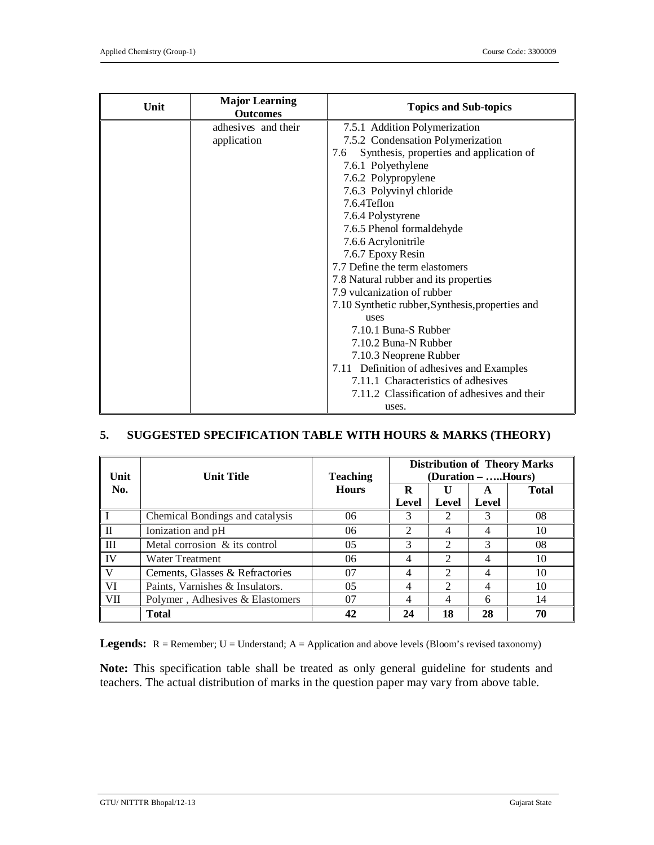| Unit | <b>Major Learning</b><br><b>Outcomes</b> | <b>Topics and Sub-topics</b>                     |  |  |
|------|------------------------------------------|--------------------------------------------------|--|--|
|      | adhesives and their                      | 7.5.1 Addition Polymerization                    |  |  |
|      | application                              | 7.5.2 Condensation Polymerization                |  |  |
|      |                                          | Synthesis, properties and application of<br>7.6  |  |  |
|      |                                          | 7.6.1 Polyethylene                               |  |  |
|      |                                          | 7.6.2 Polypropylene                              |  |  |
|      |                                          | 7.6.3 Polyvinyl chloride                         |  |  |
|      |                                          | 7.6.4Teflon                                      |  |  |
|      |                                          | 7.6.4 Polystyrene                                |  |  |
|      |                                          | 7.6.5 Phenol formaldehyde                        |  |  |
|      |                                          | 7.6.6 Acrylonitrile                              |  |  |
|      |                                          | 7.6.7 Epoxy Resin                                |  |  |
|      |                                          | 7.7 Define the term elastomers                   |  |  |
|      |                                          | 7.8 Natural rubber and its properties            |  |  |
|      |                                          | 7.9 vulcanization of rubber                      |  |  |
|      |                                          | 7.10 Synthetic rubber, Synthesis, properties and |  |  |
|      |                                          | <b>uses</b>                                      |  |  |
|      |                                          | 7.10.1 Buna-S Rubber                             |  |  |
|      |                                          | 7.10.2 Buna-N Rubber                             |  |  |
|      |                                          | 7.10.3 Neoprene Rubber                           |  |  |
|      |                                          | 7.11 Definition of adhesives and Examples        |  |  |
|      |                                          | 7.11.1 Characteristics of adhesives              |  |  |
|      |                                          | 7.11.2 Classification of adhesives and their     |  |  |
|      |                                          | uses.                                            |  |  |

## **5. SUGGESTED SPECIFICATION TABLE WITH HOURS & MARKS (THEORY)**

| Unit         | <b>Unit Title</b>               | <b>Teaching</b> | <b>Distribution of Theory Marks</b><br>(Duration – Hours) |               |            |              |
|--------------|---------------------------------|-----------------|-----------------------------------------------------------|---------------|------------|--------------|
| No.          | <b>Hours</b>                    |                 | R<br>Level                                                | Level         | A<br>Level | <b>Total</b> |
|              | Chemical Bondings and catalysis | 06              | 3                                                         |               |            | 08           |
| $\mathbf{I}$ | Ionization and pH               | 06              | 2                                                         | 4             |            | 10           |
| Ш            | Metal corrosion & its control   | 05              | 3                                                         |               | 3          | 08           |
| <b>IV</b>    | <b>Water Treatment</b>          | 06              | 4                                                         | $\mathcal{D}$ |            | 10           |
| $\mathbf{V}$ | Cements, Glasses & Refractories | 07              | 4                                                         | $\mathcal{L}$ |            | 10           |
| VI           | Paints, Varnishes & Insulators. | 05              | 4                                                         | $\mathcal{D}$ |            | 10           |
| <b>VII</b>   | Polymer, Adhesives & Elastomers | 07              | 4                                                         | 4             | 6          | 14           |
|              | <b>Total</b>                    | 42              | 24                                                        | 18            | 28         | 70           |

**Legends:** R = Remember; U = Understand; A = Application and above levels (Bloom's revised taxonomy)

**Note:** This specification table shall be treated as only general guideline for students and teachers. The actual distribution of marks in the question paper may vary from above table.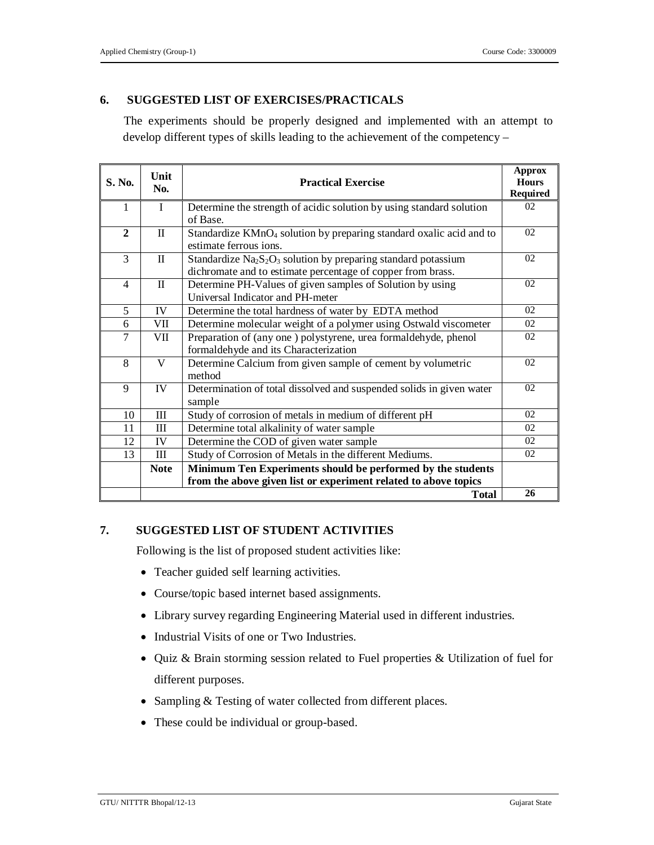## **6. SUGGESTED LIST OF EXERCISES/PRACTICALS**

The experiments should be properly designed and implemented with an attempt to develop different types of skills leading to the achievement of the competency –

| S. No.         | Unit<br>No.  | <b>Practical Exercise</b>                                                                                                                                         |    |
|----------------|--------------|-------------------------------------------------------------------------------------------------------------------------------------------------------------------|----|
| 1              | $\mathbf{I}$ | Determine the strength of acidic solution by using standard solution<br>of Base.                                                                                  | 02 |
| $\overline{2}$ | $\rm _{II}$  | Standardize KMnO <sub>4</sub> solution by preparing standard oxalic acid and to<br>estimate ferrous ions.                                                         | 02 |
| 3              | $\mathbf{I}$ | Standardize Na <sub>2</sub> S <sub>2</sub> O <sub>3</sub> solution by preparing standard potassium<br>dichromate and to estimate percentage of copper from brass. | 02 |
| 4              | $\mathbf{I}$ | Determine PH-Values of given samples of Solution by using<br>Universal Indicator and PH-meter                                                                     |    |
| 5              | IV           | Determine the total hardness of water by EDTA method                                                                                                              | 02 |
| 6              | VII          | Determine molecular weight of a polymer using Ostwald viscometer                                                                                                  |    |
| $\tau$         | VII          | Preparation of (any one) polystyrene, urea formaldehyde, phenol<br>formaldehyde and its Characterization                                                          |    |
| 8              | $\mathbf{V}$ | Determine Calcium from given sample of cement by volumetric<br>method                                                                                             |    |
| 9              | IV           | Determination of total dissolved and suspended solids in given water<br>sample                                                                                    |    |
| 10             | III          | Study of corrosion of metals in medium of different pH                                                                                                            | 02 |
| 11             | Ш            | Determine total alkalinity of water sample                                                                                                                        |    |
| 12             | IV           | Determine the COD of given water sample                                                                                                                           |    |
| 13             | Ш            | Study of Corrosion of Metals in the different Mediums.                                                                                                            | 02 |
|                | <b>Note</b>  | Minimum Ten Experiments should be performed by the students                                                                                                       |    |
|                |              | from the above given list or experiment related to above topics                                                                                                   |    |
|                |              | <b>Total</b>                                                                                                                                                      | 26 |

#### **7. SUGGESTED LIST OF STUDENT ACTIVITIES**

Following is the list of proposed student activities like:

- Teacher guided self learning activities.
- Course/topic based internet based assignments.
- Library survey regarding Engineering Material used in different industries.
- Industrial Visits of one or Two Industries.
- Quiz & Brain storming session related to Fuel properties & Utilization of fuel for different purposes.
- Sampling & Testing of water collected from different places.
- These could be individual or group-based.